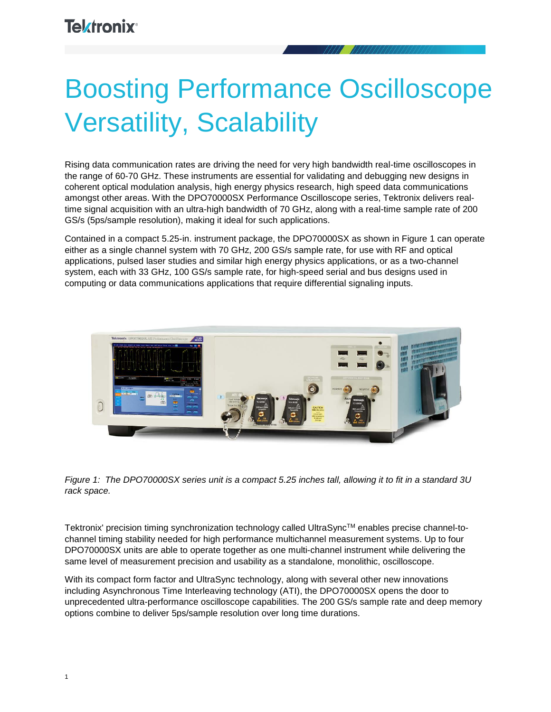# Boosting Performance Oscilloscope Versatility, Scalability

Rising data communication rates are driving the need for very high bandwidth real-time oscilloscopes in the range of 60-70 GHz. These instruments are essential for validating and debugging new designs in coherent optical modulation analysis, high energy physics research, high speed data communications amongst other areas. With the DPO70000SX Performance Oscilloscope series, Tektronix delivers realtime signal acquisition with an ultra-high bandwidth of 70 GHz, along with a real-time sample rate of 200 GS/s (5ps/sample resolution), making it ideal for such applications.

Contained in a compact 5.25-in. instrument package, the DPO70000SX as shown in Figure 1 can operate either as a single channel system with 70 GHz, 200 GS/s sample rate, for use with RF and optical applications, pulsed laser studies and similar high energy physics applications, or as a two-channel system, each with 33 GHz, 100 GS/s sample rate, for high-speed serial and bus designs used in computing or data communications applications that require differential signaling inputs.





Tektronix' precision timing synchronization technology called UltraSync™ enables precise channel-tochannel timing stability needed for high performance multichannel measurement systems. Up to four DPO70000SX units are able to operate together as one multi-channel instrument while delivering the same level of measurement precision and usability as a standalone, monolithic, oscilloscope.

With its compact form factor and UltraSync technology, along with several other new innovations including Asynchronous Time Interleaving technology (ATI), the DPO70000SX opens the door to unprecedented ultra-performance oscilloscope capabilities. The 200 GS/s sample rate and deep memory options combine to deliver 5ps/sample resolution over long time durations.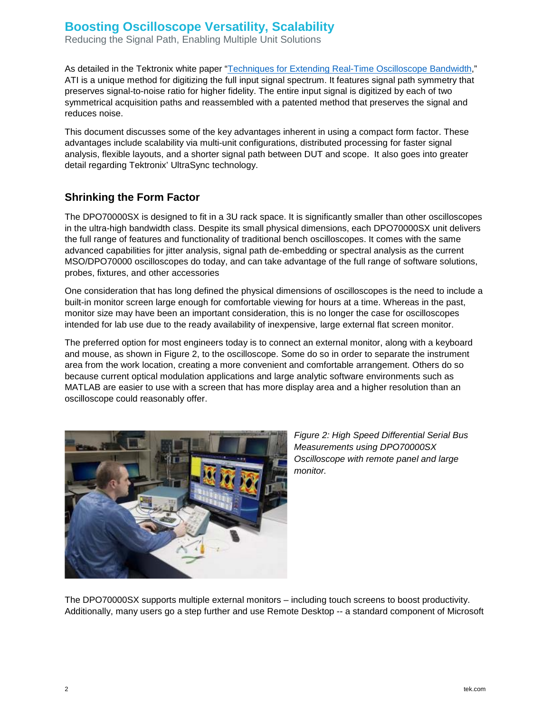Reducing the Signal Path, Enabling Multiple Unit Solutions

As detailed in the Tektronix white paper ["Techniques for Extending Real-Time Oscilloscope](http://www.tek.com/document/whitepaper/techniques-extending-real-time-oscilloscope-bandwidth) Bandwidth," ATI is a unique method for digitizing the full input signal spectrum. It features signal path symmetry that preserves signal-to-noise ratio for higher fidelity. The entire input signal is digitized by each of two symmetrical acquisition paths and reassembled with a patented method that preserves the signal and reduces noise.

This document discusses some of the key advantages inherent in using a compact form factor. These advantages include scalability via multi-unit configurations, distributed processing for faster signal analysis, flexible layouts, and a shorter signal path between DUT and scope. It also goes into greater detail regarding Tektronix' UltraSync technology.

#### **Shrinking the Form Factor**

The DPO70000SX is designed to fit in a 3U rack space. It is significantly smaller than other oscilloscopes in the ultra-high bandwidth class. Despite its small physical dimensions, each DPO70000SX unit delivers the full range of features and functionality of traditional bench oscilloscopes. It comes with the same advanced capabilities for jitter analysis, signal path de-embedding or spectral analysis as the current MSO/DPO70000 oscilloscopes do today, and can take advantage of the full range of software solutions, probes, fixtures, and other accessories

One consideration that has long defined the physical dimensions of oscilloscopes is the need to include a built-in monitor screen large enough for comfortable viewing for hours at a time. Whereas in the past, monitor size may have been an important consideration, this is no longer the case for oscilloscopes intended for lab use due to the ready availability of inexpensive, large external flat screen monitor.

The preferred option for most engineers today is to connect an external monitor, along with a keyboard and mouse, as shown in Figure 2, to the oscilloscope. Some do so in order to separate the instrument area from the work location, creating a more convenient and comfortable arrangement. Others do so because current optical modulation applications and large analytic software environments such as MATLAB are easier to use with a screen that has more display area and a higher resolution than an oscilloscope could reasonably offer.



*Figure 2: High Speed Differential Serial Bus Measurements using DPO70000SX Oscilloscope with remote panel and large monitor.*

The DPO70000SX supports multiple external monitors – including touch screens to boost productivity. Additionally, many users go a step further and use Remote Desktop -- a standard component of Microsoft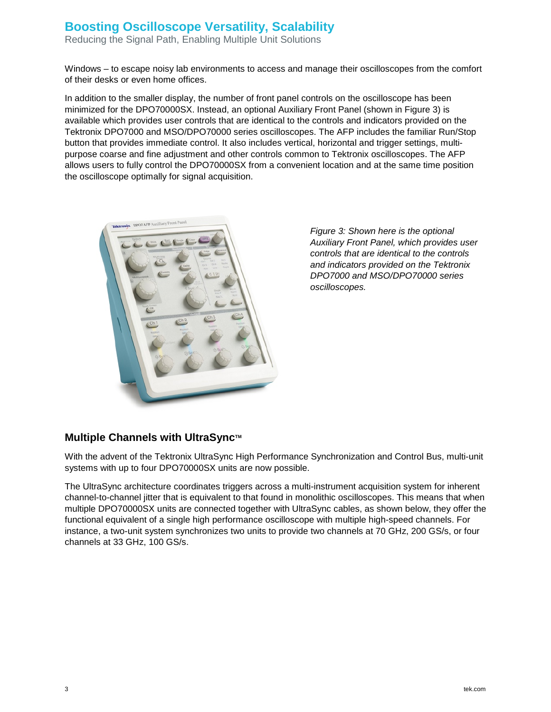Reducing the Signal Path, Enabling Multiple Unit Solutions

Windows – to escape noisy lab environments to access and manage their oscilloscopes from the comfort of their desks or even home offices.

In addition to the smaller display, the number of front panel controls on the oscilloscope has been minimized for the DPO70000SX. Instead, an optional Auxiliary Front Panel (shown in Figure 3) is available which provides user controls that are identical to the controls and indicators provided on the Tektronix DPO7000 and MSO/DPO70000 series oscilloscopes. The AFP includes the familiar Run/Stop button that provides immediate control. It also includes vertical, horizontal and trigger settings, multipurpose coarse and fine adjustment and other controls common to Tektronix oscilloscopes. The AFP allows users to fully control the DPO70000SX from a convenient location and at the same time position the oscilloscope optimally for signal acquisition.



*Figure 3: Shown here is the optional Auxiliary Front Panel, which provides user controls that are identical to the controls and indicators provided on the Tektronix DPO7000 and MSO/DPO70000 series oscilloscopes.*

#### **Multiple Channels with UltraSync™**

With the advent of the Tektronix UltraSync High Performance Synchronization and Control Bus, multi-unit systems with up to four DPO70000SX units are now possible.

The UltraSync architecture coordinates triggers across a multi-instrument acquisition system for inherent channel-to-channel jitter that is equivalent to that found in monolithic oscilloscopes. This means that when multiple DPO70000SX units are connected together with UltraSync cables, as shown below, they offer the functional equivalent of a single high performance oscilloscope with multiple high-speed channels. For instance, a two-unit system synchronizes two units to provide two channels at 70 GHz, 200 GS/s, or four channels at 33 GHz, 100 GS/s.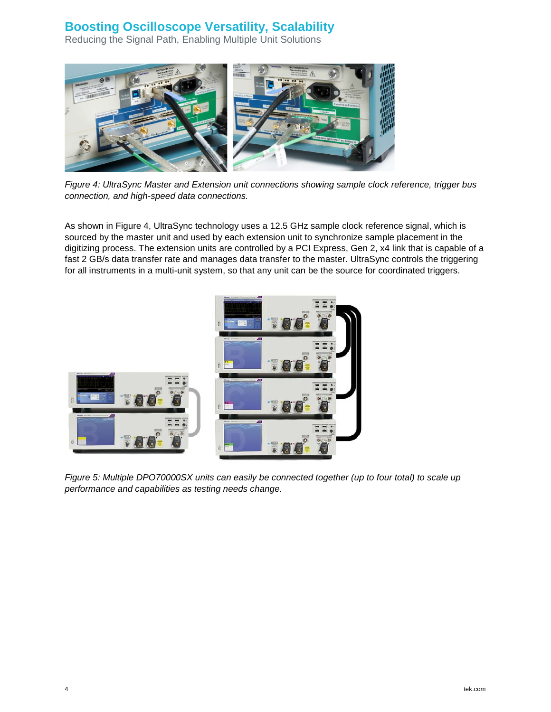Reducing the Signal Path, Enabling Multiple Unit Solutions



*Figure 4: UltraSync Master and Extension unit connections showing sample clock reference, trigger bus connection, and high-speed data connections.*

As shown in Figure 4, UltraSync technology uses a 12.5 GHz sample clock reference signal, which is sourced by the master unit and used by each extension unit to synchronize sample placement in the digitizing process. The extension units are controlled by a PCI Express, Gen 2, x4 link that is capable of a fast 2 GB/s data transfer rate and manages data transfer to the master. UltraSync controls the triggering for all instruments in a multi-unit system, so that any unit can be the source for coordinated triggers.



*Figure 5: Multiple DPO70000SX units can easily be connected together (up to four total) to scale up performance and capabilities as testing needs change.*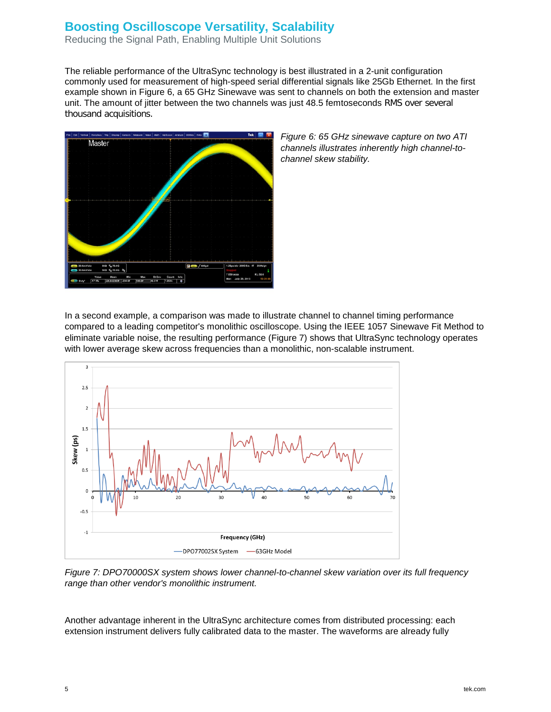Reducing the Signal Path, Enabling Multiple Unit Solutions

The reliable performance of the UltraSync technology is best illustrated in a 2-unit configuration commonly used for measurement of high-speed serial differential signals like 25Gb Ethernet. In the first example shown in Figure 6, a 65 GHz Sinewave was sent to channels on both the extension and master unit. The amount of jitter between the two channels was just 48.5 femtoseconds RMS over several thousand acquisitions.



*Figure 6: 65 GHz sinewave capture on two ATI channels illustrates inherently high channel-tochannel skew stability.*

In a second example, a comparison was made to illustrate channel to channel timing performance compared to a leading competitor's monolithic oscilloscope. Using the IEEE 1057 Sinewave Fit Method to eliminate variable noise, the resulting performance (Figure 7) shows that UltraSync technology operates with lower average skew across frequencies than a monolithic, non-scalable instrument.



*Figure 7: DPO70000SX system shows lower channel-to-channel skew variation over its full frequency range than other vendor's monolithic instrument.*

Another advantage inherent in the UltraSync architecture comes from distributed processing: each extension instrument delivers fully calibrated data to the master. The waveforms are already fully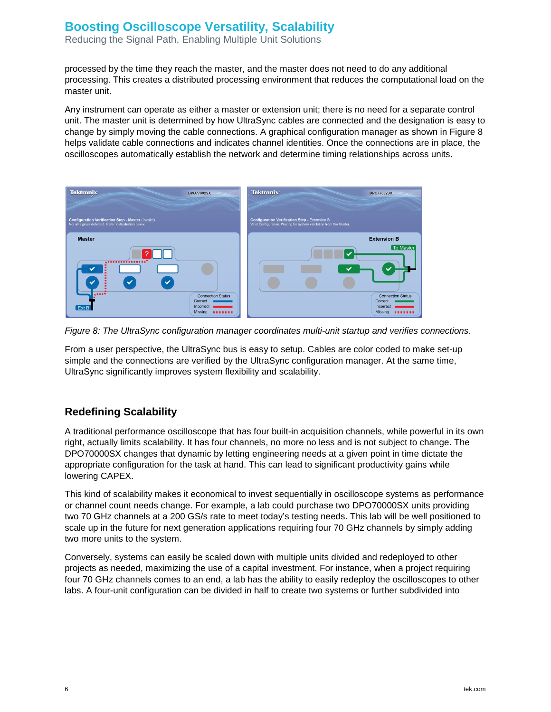Reducing the Signal Path, Enabling Multiple Unit Solutions

processed by the time they reach the master, and the master does not need to do any additional processing. This creates a distributed processing environment that reduces the computational load on the master unit.

Any instrument can operate as either a master or extension unit; there is no need for a separate control unit. The master unit is determined by how UltraSync cables are connected and the designation is easy to change by simply moving the cable connections. A graphical configuration manager as shown in Figure 8 helps validate cable connections and indicates channel identities. Once the connections are in place, the oscilloscopes automatically establish the network and determine timing relationships across units.



*Figure 8: The UltraSync configuration manager coordinates multi-unit startup and verifies connections.*

From a user perspective, the UltraSync bus is easy to setup. Cables are color coded to make set-up simple and the connections are verified by the UltraSync configuration manager. At the same time, UltraSync significantly improves system flexibility and scalability.

#### **Redefining Scalability**

A traditional performance oscilloscope that has four built-in acquisition channels, while powerful in its own right, actually limits scalability. It has four channels, no more no less and is not subject to change. The DPO70000SX changes that dynamic by letting engineering needs at a given point in time dictate the appropriate configuration for the task at hand. This can lead to significant productivity gains while lowering CAPEX.

This kind of scalability makes it economical to invest sequentially in oscilloscope systems as performance or channel count needs change. For example, a lab could purchase two DPO70000SX units providing two 70 GHz channels at a 200 GS/s rate to meet today's testing needs. This lab will be well positioned to scale up in the future for next generation applications requiring four 70 GHz channels by simply adding two more units to the system.

Conversely, systems can easily be scaled down with multiple units divided and redeployed to other projects as needed, maximizing the use of a capital investment. For instance, when a project requiring four 70 GHz channels comes to an end, a lab has the ability to easily redeploy the oscilloscopes to other labs. A four-unit configuration can be divided in half to create two systems or further subdivided into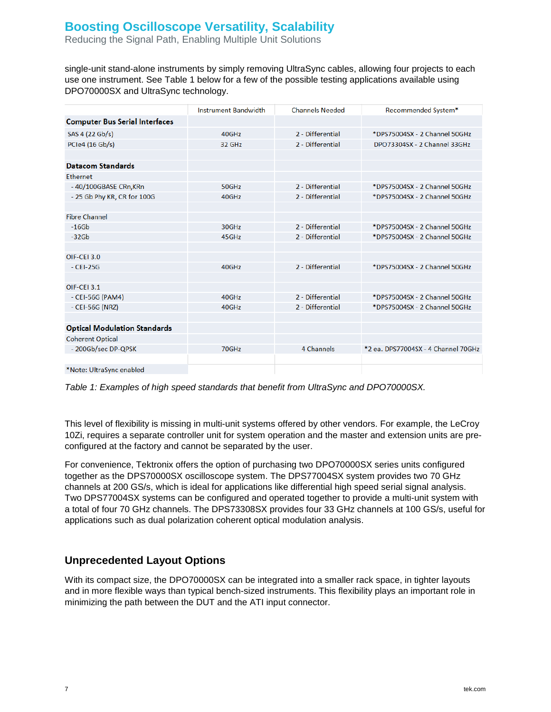Reducing the Signal Path, Enabling Multiple Unit Solutions

single-unit stand-alone instruments by simply removing UltraSync cables, allowing four projects to each use one instrument. See Table 1 below for a few of the possible testing applications available using DPO70000SX and UltraSync technology.

|                                       | <b>Instrument Bandwidth</b> | <b>Channels Needed</b> | Recommended System*                 |
|---------------------------------------|-----------------------------|------------------------|-------------------------------------|
| <b>Computer Bus Serial Interfaces</b> |                             |                        |                                     |
| SAS 4 (22 Gb/s)                       | 40GHz                       | 2 - Differential       | *DPS75004SX - 2 Channel 50GHz       |
| PCIe4 (16 Gb/s)                       | 32 GHz                      | 2 - Differential       | DPO73304SX - 2 Channel 33GHz        |
|                                       |                             |                        |                                     |
| <b>Datacom Standards</b>              |                             |                        |                                     |
| <b>Ethernet</b>                       |                             |                        |                                     |
| -40/100GBASE CRn, KRn                 | 50GHz                       | 2 - Differential       | *DPS75004SX - 2 Channel 50GHz       |
| - 25 Gb Phy KR, CR for 100G           | 40GHz                       | 2 - Differential       | *DPS75004SX - 2 Channel 50GHz       |
|                                       |                             |                        |                                     |
| <b>Fibre Channel</b>                  |                             |                        |                                     |
| $-16Gb$                               | 30GHz                       | 2 - Differential       | *DPS75004SX - 2 Channel 50GHz       |
| $-326b$                               | 45GHz                       | 2 - Differential       | *DPS75004SX - 2 Channel 50GHz       |
|                                       |                             |                        |                                     |
| OIF-CEI 3.0                           |                             |                        |                                     |
| $-$ CEI-25G                           | 40GHz                       | 2 - Differential       | *DPS75004SX - 2 Channel 50GHz       |
|                                       |                             |                        |                                     |
| OIF-CEI 3.1                           |                             |                        |                                     |
| $-$ CEI-56G (PAM4)                    | 40GHz                       | 2 - Differential       | *DPS75004SX - 2 Channel 50GHz       |
| - CEI-56G (NRZ)                       | 40GHz                       | 2 - Differential       | *DPS75004SX - 2 Channel 50GHz       |
|                                       |                             |                        |                                     |
| <b>Optical Modulation Standards</b>   |                             |                        |                                     |
| <b>Coherent Optical</b>               |                             |                        |                                     |
| - 200Gb/sec DP-QPSK                   | 70GHz                       | 4 Channels             | *2 ea. DPS77004SX - 4 Channel 70GHz |
|                                       |                             |                        |                                     |
| *Note: UltraSync enabled              |                             |                        |                                     |

*Table 1: Examples of high speed standards that benefit from UltraSync and DPO70000SX.*

This level of flexibility is missing in multi-unit systems offered by other vendors. For example, the LeCroy 10Zi, requires a separate controller unit for system operation and the master and extension units are preconfigured at the factory and cannot be separated by the user.

For convenience, Tektronix offers the option of purchasing two DPO70000SX series units configured together as the DPS70000SX oscilloscope system. The DPS77004SX system provides two 70 GHz channels at 200 GS/s, which is ideal for applications like differential high speed serial signal analysis. Two DPS77004SX systems can be configured and operated together to provide a multi-unit system with a total of four 70 GHz channels. The DPS73308SX provides four 33 GHz channels at 100 GS/s, useful for applications such as dual polarization coherent optical modulation analysis.

#### **Unprecedented Layout Options**

With its compact size, the DPO70000SX can be integrated into a smaller rack space, in tighter layouts and in more flexible ways than typical bench-sized instruments. This flexibility plays an important role in minimizing the path between the DUT and the ATI input connector.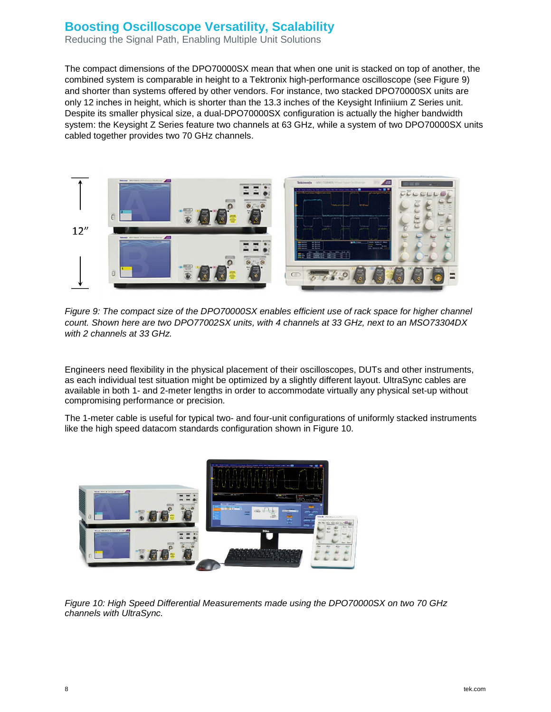Reducing the Signal Path, Enabling Multiple Unit Solutions

The compact dimensions of the DPO70000SX mean that when one unit is stacked on top of another, the combined system is comparable in height to a Tektronix high-performance oscilloscope (see Figure 9) and shorter than systems offered by other vendors. For instance, two stacked DPO70000SX units are only 12 inches in height, which is shorter than the 13.3 inches of the Keysight Infiniium Z Series unit. Despite its smaller physical size, a dual-DPO70000SX configuration is actually the higher bandwidth system: the Keysight Z Series feature two channels at 63 GHz, while a system of two DPO70000SX units cabled together provides two 70 GHz channels.



*Figure 9: The compact size of the DPO70000SX enables efficient use of rack space for higher channel count. Shown here are two DPO77002SX units, with 4 channels at 33 GHz, next to an MSO73304DX with 2 channels at 33 GHz.*

Engineers need flexibility in the physical placement of their oscilloscopes, DUTs and other instruments, as each individual test situation might be optimized by a slightly different layout. UltraSync cables are available in both 1- and 2-meter lengths in order to accommodate virtually any physical set-up without compromising performance or precision.

The 1-meter cable is useful for typical two- and four-unit configurations of uniformly stacked instruments like the high speed datacom standards configuration shown in Figure 10.



*Figure 10: High Speed Differential Measurements made using the DPO70000SX on two 70 GHz channels with UltraSync.*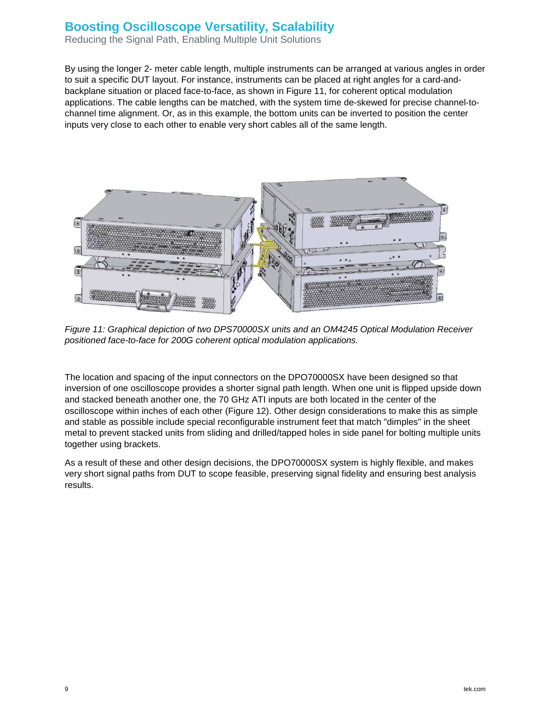Reducing the Signal Path, Enabling Multiple Unit Solutions

By using the longer 2- meter cable length, multiple instruments can be arranged at various angles in order to suit a specific DUT layout. For instance, instruments can be placed at right angles for a card-andbackplane situation or placed face-to-face, as shown in Figure 11, for coherent optical modulation applications. The cable lengths can be matched, with the system time de-skewed for precise channel-tochannel time alignment. Or, as in this example, the bottom units can be inverted to position the center inputs very close to each other to enable very short cables all of the same length.



*Figure 11: Graphical depiction of two DPS70000SX units and an OM4245 Optical Modulation Receiver positioned face-to-face for 200G coherent optical modulation applications.*

The location and spacing of the input connectors on the DPO70000SX have been designed so that inversion of one oscilloscope provides a shorter signal path length. When one unit is flipped upside down and stacked beneath another one, the 70 GHz ATI inputs are both located in the center of the oscilloscope within inches of each other (Figure 12). Other design considerations to make this as simple and stable as possible include special reconfigurable instrument feet that match "dimples" in the sheet metal to prevent stacked units from sliding and drilled/tapped holes in side panel for bolting multiple units together using brackets.

As a result of these and other design decisions, the DPO70000SX system is highly flexible, and makes very short signal paths from DUT to scope feasible, preserving signal fidelity and ensuring best analysis results.